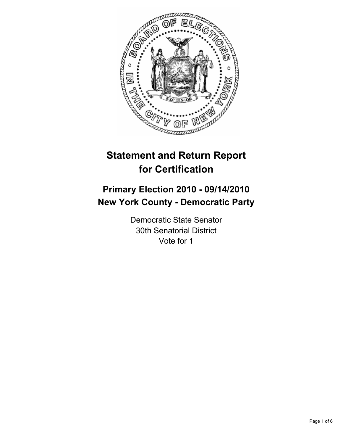

# **Statement and Return Report for Certification**

# **Primary Election 2010 - 09/14/2010 New York County - Democratic Party**

Democratic State Senator 30th Senatorial District Vote for 1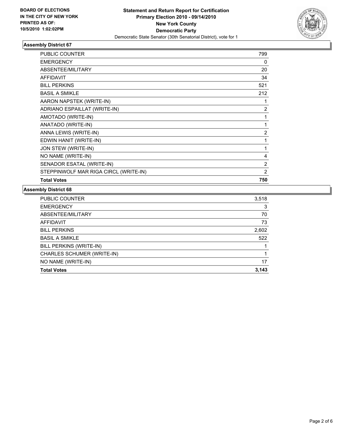

# **Assembly District 67**

| <b>PUBLIC COUNTER</b>                 | 799            |
|---------------------------------------|----------------|
| <b>EMERGENCY</b>                      | 0              |
| ABSENTEE/MILITARY                     | 20             |
| <b>AFFIDAVIT</b>                      | 34             |
| <b>BILL PERKINS</b>                   | 521            |
| <b>BASIL A SMIKLE</b>                 | 212            |
| AARON NAPSTEK (WRITE-IN)              | 1              |
| ADRIANO ESPAILLAT (WRITE-IN)          | 2              |
| AMOTADO (WRITE-IN)                    | 1              |
| ANATADO (WRITE-IN)                    | 1              |
| ANNA LEWIS (WRITE-IN)                 | 2              |
| EDWIN HANIT (WRITE-IN)                | 1              |
| JON STEW (WRITE-IN)                   | 1              |
| NO NAME (WRITE-IN)                    | 4              |
| SENADOR ESATAL (WRITE-IN)             | 2              |
| STEPPINWOLF MAR RIGA CIRCL (WRITE-IN) | $\overline{2}$ |
| <b>Total Votes</b>                    | 750            |

#### **Assembly District 68**

| <b>PUBLIC COUNTER</b>      | 3,518 |
|----------------------------|-------|
| <b>EMERGENCY</b>           | 3     |
| ABSENTEE/MILITARY          | 70    |
| <b>AFFIDAVIT</b>           | 73    |
| <b>BILL PERKINS</b>        | 2,602 |
| <b>BASIL A SMIKLE</b>      | 522   |
| BILL PERKINS (WRITE-IN)    |       |
| CHARLES SCHUMER (WRITE-IN) |       |
| NO NAME (WRITE-IN)         | 17    |
| <b>Total Votes</b>         | 3,143 |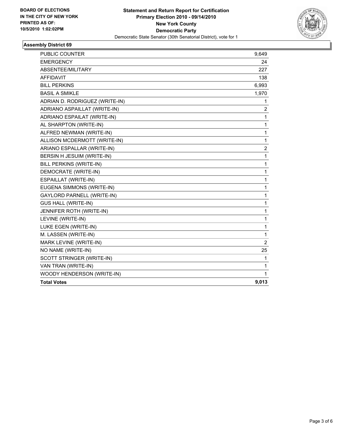

# **Assembly District 69**

| <b>PUBLIC COUNTER</b>             | 9,649          |
|-----------------------------------|----------------|
| <b>EMERGENCY</b>                  | 24             |
| ABSENTEE/MILITARY                 | 227            |
| <b>AFFIDAVIT</b>                  | 138            |
| <b>BILL PERKINS</b>               | 6,993          |
| <b>BASIL A SMIKLE</b>             | 1,970          |
| ADRIAN D. RODRIGUEZ (WRITE-IN)    | 1              |
| ADRIANO ASPAILLAT (WRITE-IN)      | 2              |
| ADRIANO ESPAILAT (WRITE-IN)       | 1              |
| AL SHARPTON (WRITE-IN)            | $\mathbf 1$    |
| ALFRED NEWMAN (WRITE-IN)          | 1              |
| ALLISON MCDERMOTT (WRITE-IN)      | 1              |
| ARIANO ESPALLAR (WRITE-IN)        | $\overline{c}$ |
| BERSIN H JESUIM (WRITE-IN)        | $\mathbf 1$    |
| BILL PERKINS (WRITE-IN)           | $\mathbf 1$    |
| DEMOCRATE (WRITE-IN)              | 1              |
| ESPAILLAT (WRITE-IN)              | $\mathbf 1$    |
| EUGENA SIMMONS (WRITE-IN)         | $\mathbf{1}$   |
| <b>GAYLORD PARNELL (WRITE-IN)</b> | $\mathbf{1}$   |
| <b>GUS HALL (WRITE-IN)</b>        | 1              |
| JENNIFER ROTH (WRITE-IN)          | $\mathbf 1$    |
| LEVINE (WRITE-IN)                 | 1              |
| LUKE EGEN (WRITE-IN)              | 1              |
| M. LASSEN (WRITE-IN)              | 1              |
| MARK LEVINE (WRITE-IN)            | $\overline{2}$ |
| NO NAME (WRITE-IN)                | 25             |
| SCOTT STRINGER (WRITE-IN)         | 1              |
| VAN TRAN (WRITE-IN)               | 1              |
| WOODY HENDERSON (WRITE-IN)        | 1              |
| <b>Total Votes</b>                | 9,013          |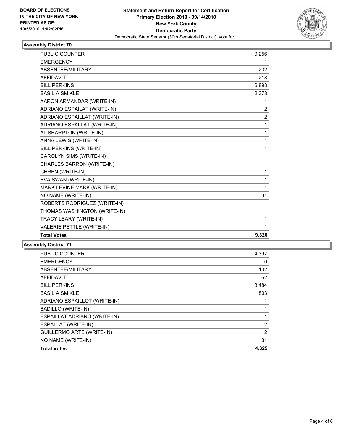

# **Assembly District 70**

| <b>PUBLIC COUNTER</b>        | 9.256            |
|------------------------------|------------------|
| <b>EMERGENCY</b>             | 11               |
| ABSENTEE/MILITARY            | 232              |
| <b>AFFIDAVIT</b>             | 218              |
| <b>BILL PERKINS</b>          | 6,893            |
| <b>BASIL A SMIKLE</b>        | 2,378            |
| AARON ARMANDAR (WRITE-IN)    | 1                |
| ADRIANO ESPAILAT (WRITE-IN)  | 2                |
| ADRIANO ESPAILLAT (WRITE-IN) | $\boldsymbol{2}$ |
| ADRIANO ESPALLAT (WRITE-IN)  | 1                |
| AL SHARPTON (WRITE-IN)       | 1                |
| ANNA LEWIS (WRITE-IN)        | 1                |
| BILL PERKINS (WRITE-IN)      | 1                |
| CAROLYN SIMS (WRITE-IN)      | 1                |
| CHARLES BARRON (WRITE-IN)    | 1                |
| CHREN (WRITE-IN)             | 1                |
| EVA SWAN (WRITE-IN)          | 1                |
| MARK LEVINE MARK (WRITE-IN)  | 1                |
| NO NAME (WRITE-IN)           | 31               |
| ROBERTS RODRIGUEZ (WRITE-IN) | 1                |
| THOMAS WASHINGTON (WRITE-IN) | 1                |
| TRACY LEARY (WRITE-IN)       | 1                |
| VALERIE PETTLE (WRITE-IN)    | 1                |
| <b>Total Votes</b>           | 9,320            |

#### **Assembly District 71**

| <b>Total Votes</b>               | 4.325          |
|----------------------------------|----------------|
| NO NAME (WRITE-IN)               | 31             |
| <b>GUILLERMO ARTE (WRITE-IN)</b> | $\overline{2}$ |
| ESPALLAT (WRITE-IN)              | 2              |
| ESPAILLAT ADRIANO (WRITE-IN)     | 1              |
| <b>BADILLO (WRITE-IN)</b>        | 1              |
| ADRIANO ESPAILLOT (WRITE-IN)     |                |
| <b>BASIL A SMIKLE</b>            | 803            |
| <b>BILL PERKINS</b>              | 3,484          |
| AFFIDAVIT                        | 62             |
| ABSENTEE/MILITARY                | 102            |
| <b>EMERGENCY</b>                 | 0              |
| <b>PUBLIC COUNTER</b>            | 4,397          |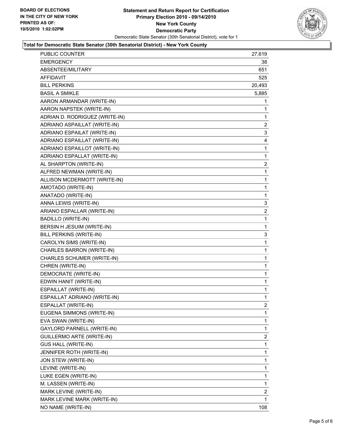

#### **Total for Democratic State Senator (30th Senatorial District) - New York County**

| PUBLIC COUNTER                    | 27,619         |
|-----------------------------------|----------------|
| <b>EMERGENCY</b>                  | 38             |
| ABSENTEE/MILITARY                 | 651            |
| AFFIDAVIT                         | 525            |
| <b>BILL PERKINS</b>               | 20,493         |
| <b>BASIL A SMIKLE</b>             | 5,885          |
| AARON ARMANDAR (WRITE-IN)         | 1              |
| AARON NAPSTEK (WRITE-IN)          | 1              |
| ADRIAN D. RODRIGUEZ (WRITE-IN)    | 1              |
| ADRIANO ASPAILLAT (WRITE-IN)      | $\overline{2}$ |
| ADRIANO ESPAILAT (WRITE-IN)       | 3              |
| ADRIANO ESPAILLAT (WRITE-IN)      | 4              |
| ADRIANO ESPAILLOT (WRITE-IN)      | 1              |
| ADRIANO ESPALLAT (WRITE-IN)       | 1              |
| AL SHARPTON (WRITE-IN)            | $\overline{c}$ |
| ALFRED NEWMAN (WRITE-IN)          | 1              |
| ALLISON MCDERMOTT (WRITE-IN)      | 1              |
| AMOTADO (WRITE-IN)                | 1              |
| ANATADO (WRITE-IN)                | 1              |
| ANNA LEWIS (WRITE-IN)             | 3              |
| ARIANO ESPALLAR (WRITE-IN)        | 2              |
| <b>BADILLO (WRITE-IN)</b>         | 1              |
| BERSIN H JESUIM (WRITE-IN)        | 1              |
| BILL PERKINS (WRITE-IN)           | 3              |
| CAROLYN SIMS (WRITE-IN)           | 1              |
| CHARLES BARRON (WRITE-IN)         | 1              |
| CHARLES SCHUMER (WRITE-IN)        | 1              |
| CHREN (WRITE-IN)                  | 1              |
| DEMOCRATE (WRITE-IN)              | 1              |
| EDWIN HANIT (WRITE-IN)            | 1              |
| ESPAILLAT (WRITE-IN)              | 1              |
| ESPAILLAT ADRIANO (WRITE-IN)      | 1              |
| ESPALLAT (WRITE-IN)               | 2              |
| EUGENA SIMMONS (WRITE-IN)         | 1              |
| EVA SWAN (WRITE-IN)               | 1              |
| <b>GAYLORD PARNELL (WRITE-IN)</b> | $\mathbf{1}$   |
| <b>GUILLERMO ARTE (WRITE-IN)</b>  | $\overline{2}$ |
| <b>GUS HALL (WRITE-IN)</b>        | 1              |
| JENNIFER ROTH (WRITE-IN)          | 1              |
| JON STEW (WRITE-IN)               | 1              |
| LEVINE (WRITE-IN)                 | 1              |
| LUKE EGEN (WRITE-IN)              | 1              |
| M. LASSEN (WRITE-IN)              | 1              |
| MARK LEVINE (WRITE-IN)            | 2              |
| MARK LEVINE MARK (WRITE-IN)       | 1              |
| NO NAME (WRITE-IN)                | 108            |
|                                   |                |